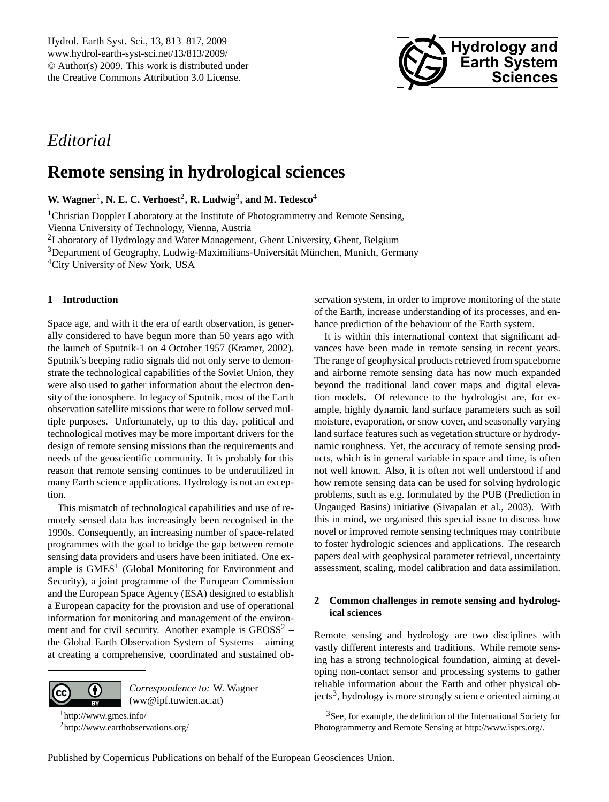

# <span id="page-0-3"></span>*Editorial*

# **Remote sensing in hydrological sciences**

**W.** Wagner<sup>1</sup>, N. E. C. Verhoest<sup>2</sup>, R. Ludwig<sup>3</sup>, and M. Tedesco<sup>4</sup>

<sup>1</sup>Christian Doppler Laboratory at the Institute of Photogrammetry and Remote Sensing,

Vienna University of Technology, Vienna, Austria

<sup>2</sup>Laboratory of Hydrology and Water Management, Ghent University, Ghent, Belgium

 $3$ Department of Geography, Ludwig-Maximilians-Universität München, Munich, Germany

<sup>4</sup>City University of New York, USA

## **1 Introduction**

Space age, and with it the era of earth observation, is generally considered to have begun more than 50 years ago with the launch of Sputnik-1 on 4 October 1957 (Kramer, 2002). Sputnik's beeping radio signals did not only serve to demonstrate the technological capabilities of the Soviet Union, they were also used to gather information about the electron density of the ionosphere. In legacy of Sputnik, most of the Earth observation satellite missions that were to follow served multiple purposes. Unfortunately, up to this day, political and technological motives may be more important drivers for the design of remote sensing missions than the requirements and needs of the geoscientific community. It is probably for this reason that remote sensing continues to be underutilized in many Earth science applications. Hydrology is not an exception.

This mismatch of technological capabilities and use of remotely sensed data has increasingly been recognised in the 1990s. Consequently, an increasing number of space-related programmes with the goal to bridge the gap between remote sensing data providers and users have been initiated. One example is  $GMES<sup>1</sup>$  $GMES<sup>1</sup>$  $GMES<sup>1</sup>$  (Global Monitoring for Environment and Security), a joint programme of the European Commission and the European Space Agency (ESA) designed to establish a European capacity for the provision and use of operational information for monitoring and management of the environment and for civil security. Another example is  $GEOSS^2$  $GEOSS^2$  – the Global Earth Observation System of Systems – aiming at creating a comprehensive, coordinated and sustained ob-



*Correspondence to:* W. Wagner (ww@ipf.tuwien.ac.at)

<span id="page-0-0"></span> $1$ <http://www.gmes.info/>

<span id="page-0-1"></span><sup>2</sup><http://www.earthobservations.org/>

servation system, in order to improve monitoring of the state of the Earth, increase understanding of its processes, and enhance prediction of the behaviour of the Earth system.

It is within this international context that significant advances have been made in remote sensing in recent years. The range of geophysical products retrieved from spaceborne and airborne remote sensing data has now much expanded beyond the traditional land cover maps and digital elevation models. Of relevance to the hydrologist are, for example, highly dynamic land surface parameters such as soil moisture, evaporation, or snow cover, and seasonally varying land surface features such as vegetation structure or hydrodynamic roughness. Yet, the accuracy of remote sensing products, which is in general variable in space and time, is often not well known. Also, it is often not well understood if and how remote sensing data can be used for solving hydrologic problems, such as e.g. formulated by the PUB (Prediction in Ungauged Basins) initiative (Sivapalan et al., 2003). With this in mind, we organised this special issue to discuss how novel or improved remote sensing techniques may contribute to foster hydrologic sciences and applications. The research papers deal with geophysical parameter retrieval, uncertainty assessment, scaling, model calibration and data assimilation.

## **2 Common challenges in remote sensing and hydrological sciences**

Remote sensing and hydrology are two disciplines with vastly different interests and traditions. While remote sensing has a strong technological foundation, aiming at developing non-contact sensor and processing systems to gather reliable information about the Earth and other physical ob-jects<sup>[3](#page-0-2)</sup>, hydrology is more strongly science oriented aiming at

<span id="page-0-2"></span> $3$ See, for example, the definition of the International Society for Photogrammetry and Remote Sensing at [http://www.isprs.org/.](http://www.isprs.org/)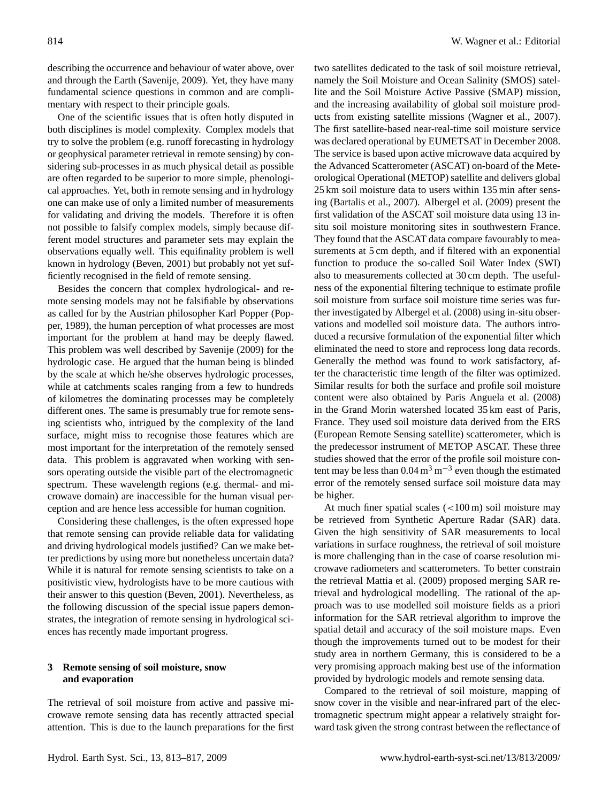describing the occurrence and behaviour of water above, over and through the Earth (Savenije, 2009). Yet, they have many fundamental science questions in common and are complimentary with respect to their principle goals.

One of the scientific issues that is often hotly disputed in both disciplines is model complexity. Complex models that try to solve the problem (e.g. runoff forecasting in hydrology or geophysical parameter retrieval in remote sensing) by considering sub-processes in as much physical detail as possible are often regarded to be superior to more simple, phenological approaches. Yet, both in remote sensing and in hydrology one can make use of only a limited number of measurements for validating and driving the models. Therefore it is often not possible to falsify complex models, simply because different model structures and parameter sets may explain the observations equally well. This equifinality problem is well known in hydrology (Beven, 2001) but probably not yet sufficiently recognised in the field of remote sensing.

Besides the concern that complex hydrological- and remote sensing models may not be falsifiable by observations as called for by the Austrian philosopher Karl Popper (Popper, 1989), the human perception of what processes are most important for the problem at hand may be deeply flawed. This problem was well described by Savenije (2009) for the hydrologic case. He argued that the human being is blinded by the scale at which he/she observes hydrologic processes, while at catchments scales ranging from a few to hundreds of kilometres the dominating processes may be completely different ones. The same is presumably true for remote sensing scientists who, intrigued by the complexity of the land surface, might miss to recognise those features which are most important for the interpretation of the remotely sensed data. This problem is aggravated when working with sensors operating outside the visible part of the electromagnetic spectrum. These wavelength regions (e.g. thermal- and microwave domain) are inaccessible for the human visual perception and are hence less accessible for human cognition.

Considering these challenges, is the often expressed hope that remote sensing can provide reliable data for validating and driving hydrological models justified? Can we make better predictions by using more but nonetheless uncertain data? While it is natural for remote sensing scientists to take on a positivistic view, hydrologists have to be more cautious with their answer to this question (Beven, 2001). Nevertheless, as the following discussion of the special issue papers demonstrates, the integration of remote sensing in hydrological sciences has recently made important progress.

### **3 Remote sensing of soil moisture, snow and evaporation**

The retrieval of soil moisture from active and passive microwave remote sensing data has recently attracted special attention. This is due to the launch preparations for the first two satellites dedicated to the task of soil moisture retrieval, namely the Soil Moisture and Ocean Salinity (SMOS) satellite and the Soil Moisture Active Passive (SMAP) mission, and the increasing availability of global soil moisture products from existing satellite missions (Wagner et al., 2007). The first satellite-based near-real-time soil moisture service was declared operational by EUMETSAT in December 2008. The service is based upon active microwave data acquired by the Advanced Scatterometer (ASCAT) on-board of the Meteorological Operational (METOP) satellite and delivers global 25 km soil moisture data to users within 135 min after sensing (Bartalis et al., 2007). Albergel et al. (2009) present the first validation of the ASCAT soil moisture data using 13 insitu soil moisture monitoring sites in southwestern France. They found that the ASCAT data compare favourably to measurements at 5 cm depth, and if filtered with an exponential function to produce the so-called Soil Water Index (SWI) also to measurements collected at 30 cm depth. The usefulness of the exponential filtering technique to estimate profile soil moisture from surface soil moisture time series was further investigated by Albergel et al. (2008) using in-situ observations and modelled soil moisture data. The authors introduced a recursive formulation of the exponential filter which eliminated the need to store and reprocess long data records. Generally the method was found to work satisfactory, after the characteristic time length of the filter was optimized. Similar results for both the surface and profile soil moisture content were also obtained by Paris Anguela et al. (2008) in the Grand Morin watershed located 35 km east of Paris, France. They used soil moisture data derived from the ERS (European Remote Sensing satellite) scatterometer, which is the predecessor instrument of METOP ASCAT. These three studies showed that the error of the profile soil moisture content may be less than  $0.04 \text{ m}^3 \text{ m}^{-3}$  even though the estimated error of the remotely sensed surface soil moisture data may be higher.

At much finer spatial scales  $\left($  < 100 m) soil moisture may be retrieved from Synthetic Aperture Radar (SAR) data. Given the high sensitivity of SAR measurements to local variations in surface roughness, the retrieval of soil moisture is more challenging than in the case of coarse resolution microwave radiometers and scatterometers. To better constrain the retrieval Mattia et al. (2009) proposed merging SAR retrieval and hydrological modelling. The rational of the approach was to use modelled soil moisture fields as a priori information for the SAR retrieval algorithm to improve the spatial detail and accuracy of the soil moisture maps. Even though the improvements turned out to be modest for their study area in northern Germany, this is considered to be a very promising approach making best use of the information provided by hydrologic models and remote sensing data.

Compared to the retrieval of soil moisture, mapping of snow cover in the visible and near-infrared part of the electromagnetic spectrum might appear a relatively straight forward task given the strong contrast between the reflectance of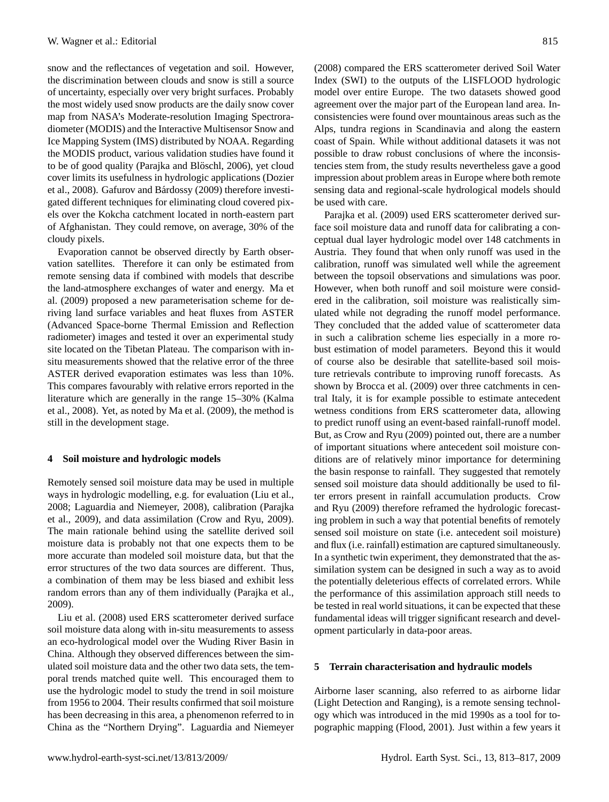snow and the reflectances of vegetation and soil. However, the discrimination between clouds and snow is still a source of uncertainty, especially over very bright surfaces. Probably the most widely used snow products are the daily snow cover map from NASA's Moderate-resolution Imaging Spectroradiometer (MODIS) and the Interactive Multisensor Snow and Ice Mapping System (IMS) distributed by NOAA. Regarding the MODIS product, various validation studies have found it to be of good quality (Parajka and Blöschl, 2006), yet cloud cover limits its usefulness in hydrologic applications (Dozier et al., 2008). Gafurov and Bárdossy (2009) therefore investigated different techniques for eliminating cloud covered pixels over the Kokcha catchment located in north-eastern part of Afghanistan. They could remove, on average, 30% of the cloudy pixels.

Evaporation cannot be observed directly by Earth observation satellites. Therefore it can only be estimated from remote sensing data if combined with models that describe the land-atmosphere exchanges of water and energy. Ma et al. (2009) proposed a new parameterisation scheme for deriving land surface variables and heat fluxes from ASTER (Advanced Space-borne Thermal Emission and Reflection radiometer) images and tested it over an experimental study site located on the Tibetan Plateau. The comparison with insitu measurements showed that the relative error of the three ASTER derived evaporation estimates was less than 10%. This compares favourably with relative errors reported in the literature which are generally in the range 15–30% (Kalma et al., 2008). Yet, as noted by Ma et al. (2009), the method is still in the development stage.

#### **4 Soil moisture and hydrologic models**

Remotely sensed soil moisture data may be used in multiple ways in hydrologic modelling, e.g. for evaluation (Liu et al., 2008; Laguardia and Niemeyer, 2008), calibration (Parajka et al., 2009), and data assimilation (Crow and Ryu, 2009). The main rationale behind using the satellite derived soil moisture data is probably not that one expects them to be more accurate than modeled soil moisture data, but that the error structures of the two data sources are different. Thus, a combination of them may be less biased and exhibit less random errors than any of them individually (Parajka et al., 2009).

Liu et al. (2008) used ERS scatterometer derived surface soil moisture data along with in-situ measurements to assess an eco-hydrological model over the Wuding River Basin in China. Although they observed differences between the simulated soil moisture data and the other two data sets, the temporal trends matched quite well. This encouraged them to use the hydrologic model to study the trend in soil moisture from 1956 to 2004. Their results confirmed that soil moisture has been decreasing in this area, a phenomenon referred to in China as the "Northern Drying". Laguardia and Niemeyer (2008) compared the ERS scatterometer derived Soil Water Index (SWI) to the outputs of the LISFLOOD hydrologic model over entire Europe. The two datasets showed good agreement over the major part of the European land area. Inconsistencies were found over mountainous areas such as the Alps, tundra regions in Scandinavia and along the eastern coast of Spain. While without additional datasets it was not possible to draw robust conclusions of where the inconsistencies stem from, the study results nevertheless gave a good impression about problem areas in Europe where both remote sensing data and regional-scale hydrological models should be used with care.

Parajka et al. (2009) used ERS scatterometer derived surface soil moisture data and runoff data for calibrating a conceptual dual layer hydrologic model over 148 catchments in Austria. They found that when only runoff was used in the calibration, runoff was simulated well while the agreement between the topsoil observations and simulations was poor. However, when both runoff and soil moisture were considered in the calibration, soil moisture was realistically simulated while not degrading the runoff model performance. They concluded that the added value of scatterometer data in such a calibration scheme lies especially in a more robust estimation of model parameters. Beyond this it would of course also be desirable that satellite-based soil moisture retrievals contribute to improving runoff forecasts. As shown by Brocca et al. (2009) over three catchments in central Italy, it is for example possible to estimate antecedent wetness conditions from ERS scatterometer data, allowing to predict runoff using an event-based rainfall-runoff model. But, as Crow and Ryu (2009) pointed out, there are a number of important situations where antecedent soil moisture conditions are of relatively minor importance for determining the basin response to rainfall. They suggested that remotely sensed soil moisture data should additionally be used to filter errors present in rainfall accumulation products. Crow and Ryu (2009) therefore reframed the hydrologic forecasting problem in such a way that potential benefits of remotely sensed soil moisture on state (i.e. antecedent soil moisture) and flux (i.e. rainfall) estimation are captured simultaneously. In a synthetic twin experiment, they demonstrated that the assimilation system can be designed in such a way as to avoid the potentially deleterious effects of correlated errors. While the performance of this assimilation approach still needs to be tested in real world situations, it can be expected that these fundamental ideas will trigger significant research and development particularly in data-poor areas.

#### **5 Terrain characterisation and hydraulic models**

Airborne laser scanning, also referred to as airborne lidar (Light Detection and Ranging), is a remote sensing technology which was introduced in the mid 1990s as a tool for topographic mapping (Flood, 2001). Just within a few years it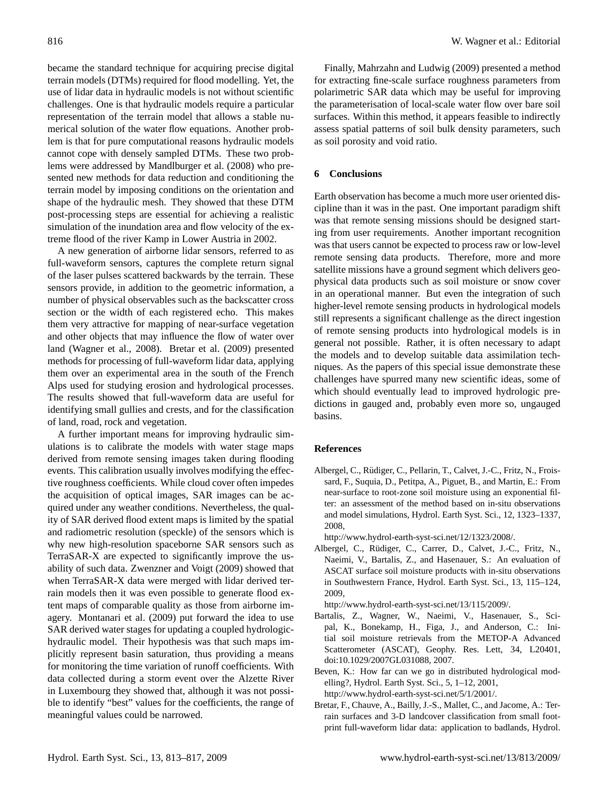became the standard technique for acquiring precise digital terrain models (DTMs) required for flood modelling. Yet, the use of lidar data in hydraulic models is not without scientific challenges. One is that hydraulic models require a particular representation of the terrain model that allows a stable numerical solution of the water flow equations. Another problem is that for pure computational reasons hydraulic models cannot cope with densely sampled DTMs. These two problems were addressed by Mandlburger et al. (2008) who presented new methods for data reduction and conditioning the terrain model by imposing conditions on the orientation and shape of the hydraulic mesh. They showed that these DTM post-processing steps are essential for achieving a realistic simulation of the inundation area and flow velocity of the extreme flood of the river Kamp in Lower Austria in 2002.

A new generation of airborne lidar sensors, referred to as full-waveform sensors, captures the complete return signal of the laser pulses scattered backwards by the terrain. These sensors provide, in addition to the geometric information, a number of physical observables such as the backscatter cross section or the width of each registered echo. This makes them very attractive for mapping of near-surface vegetation and other objects that may influence the flow of water over land (Wagner et al., 2008). Bretar et al. (2009) presented methods for processing of full-waveform lidar data, applying them over an experimental area in the south of the French Alps used for studying erosion and hydrological processes. The results showed that full-waveform data are useful for identifying small gullies and crests, and for the classification of land, road, rock and vegetation.

A further important means for improving hydraulic simulations is to calibrate the models with water stage maps derived from remote sensing images taken during flooding events. This calibration usually involves modifying the effective roughness coefficients. While cloud cover often impedes the acquisition of optical images, SAR images can be acquired under any weather conditions. Nevertheless, the quality of SAR derived flood extent maps is limited by the spatial and radiometric resolution (speckle) of the sensors which is why new high-resolution spaceborne SAR sensors such as TerraSAR-X are expected to significantly improve the usability of such data. Zwenzner and Voigt (2009) showed that when TerraSAR-X data were merged with lidar derived terrain models then it was even possible to generate flood extent maps of comparable quality as those from airborne imagery. Montanari et al. (2009) put forward the idea to use SAR derived water stages for updating a coupled hydrologichydraulic model. Their hypothesis was that such maps implicitly represent basin saturation, thus providing a means for monitoring the time variation of runoff coefficients. With data collected during a storm event over the Alzette River in Luxembourg they showed that, although it was not possible to identify "best" values for the coefficients, the range of meaningful values could be narrowed.

Finally, Mahrzahn and Ludwig (2009) presented a method for extracting fine-scale surface roughness parameters from polarimetric SAR data which may be useful for improving the parameterisation of local-scale water flow over bare soil surfaces. Within this method, it appears feasible to indirectly assess spatial patterns of soil bulk density parameters, such as soil porosity and void ratio.

### **6 Conclusions**

Earth observation has become a much more user oriented discipline than it was in the past. One important paradigm shift was that remote sensing missions should be designed starting from user requirements. Another important recognition was that users cannot be expected to process raw or low-level remote sensing data products. Therefore, more and more satellite missions have a ground segment which delivers geophysical data products such as soil moisture or snow cover in an operational manner. But even the integration of such higher-level remote sensing products in hydrological models still represents a significant challenge as the direct ingestion of remote sensing products into hydrological models is in general not possible. Rather, it is often necessary to adapt the models and to develop suitable data assimilation techniques. As the papers of this special issue demonstrate these challenges have spurred many new scientific ideas, some of which should eventually lead to improved hydrologic predictions in gauged and, probably even more so, ungauged basins.

#### **References**

Albergel, C., Rudiger, C., Pellarin, T., Calvet, J.-C., Fritz, N., Frois- ¨ sard, F., Suquia, D., Petitpa, A., Piguet, B., and Martin, E.: From near-surface to root-zone soil moisture using an exponential filter: an assessment of the method based on in-situ observations and model simulations, Hydrol. Earth Syst. Sci., 12, 1323–1337, 2008,

[http://www.hydrol-earth-syst-sci.net/12/1323/2008/.](http://www.hydrol-earth-syst-sci.net/12/1323/2008/)

Albergel, C., Rüdiger, C., Carrer, D., Calvet, J.-C., Fritz, N., Naeimi, V., Bartalis, Z., and Hasenauer, S.: An evaluation of ASCAT surface soil moisture products with in-situ observations in Southwestern France, Hydrol. Earth Syst. Sci., 13, 115–124, 2009,

[http://www.hydrol-earth-syst-sci.net/13/115/2009/.](http://www.hydrol-earth-syst-sci.net/13/115/2009/)

- Bartalis, Z., Wagner, W., Naeimi, V., Hasenauer, S., Scipal, K., Bonekamp, H., Figa, J., and Anderson, C.: Initial soil moisture retrievals from the METOP-A Advanced Scatterometer (ASCAT), Geophy. Res. Lett, 34, L20401, doi:10.1029/2007GL031088, 2007.
- Beven, K.: How far can we go in distributed hydrological modelling?, Hydrol. Earth Syst. Sci., 5, 1–12, 2001, [http://www.hydrol-earth-syst-sci.net/5/1/2001/.](http://www.hydrol-earth-syst-sci.net/5/1/2001/)
- Bretar, F., Chauve, A., Bailly, J.-S., Mallet, C., and Jacome, A.: Terrain surfaces and 3-D landcover classification from small footprint full-waveform lidar data: application to badlands, Hydrol.